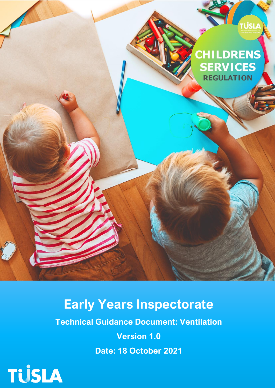

# **Early Years Inspectorate**

**Technical Guidance Document: Ventilation**

**Version 1.0**

**Date: 18 October 2021**

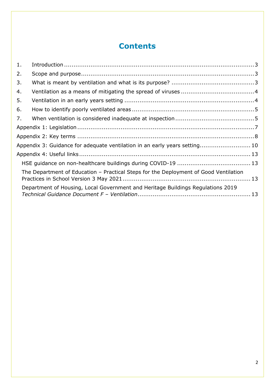# **Contents**

| 1. |                                                                                      |  |  |
|----|--------------------------------------------------------------------------------------|--|--|
| 2. |                                                                                      |  |  |
| 3. |                                                                                      |  |  |
| 4. |                                                                                      |  |  |
| 5. |                                                                                      |  |  |
| 6. |                                                                                      |  |  |
| 7. |                                                                                      |  |  |
|    |                                                                                      |  |  |
|    |                                                                                      |  |  |
|    | Appendix 3: Guidance for adequate ventilation in an early years setting 10           |  |  |
|    |                                                                                      |  |  |
|    |                                                                                      |  |  |
|    | The Department of Education – Practical Steps for the Deployment of Good Ventilation |  |  |
|    | Department of Housing, Local Government and Heritage Buildings Regulations 2019      |  |  |
|    |                                                                                      |  |  |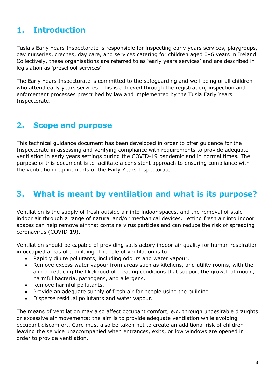# <span id="page-2-0"></span>**1. Introduction**

Tusla's Early Years Inspectorate is responsible for inspecting early years services, playgroups, day nurseries, crèches, day care, and services catering for children aged 0–6 years in Ireland. Collectively, these organisations are referred to as 'early years services' and are described in legislation as 'preschool services'.

The Early Years Inspectorate is committed to the safeguarding and well-being of all children who attend early years services. This is achieved through the registration, inspection and enforcement processes prescribed by law and implemented by the Tusla Early Years Inspectorate.

# <span id="page-2-1"></span>**2. Scope and purpose**

This technical guidance document has been developed in order to offer guidance for the Inspectorate in assessing and verifying compliance with requirements to provide adequate ventilation in early years settings during the COVID-19 pandemic and in normal times. The purpose of this document is to facilitate a consistent approach to ensuring compliance with the ventilation requirements of the Early Years Inspectorate.

# <span id="page-2-2"></span>**3. What is meant by ventilation and what is its purpose?**

Ventilation is the supply of fresh outside air into indoor spaces, and the removal of stale indoor air through a range of natural and/or mechanical devices. Letting fresh air into indoor spaces can help remove air that contains virus particles and can reduce the risk of spreading coronavirus (COVID-19).

Ventilation should be capable of providing satisfactory indoor air quality for human respiration in occupied areas of a building. The role of ventilation is to:

- Rapidly dilute pollutants, including odours and water vapour.
- Remove excess water vapour from areas such as kitchens, and utility rooms, with the aim of reducing the likelihood of creating conditions that support the growth of mould, harmful bacteria, pathogens, and allergens.
- Remove harmful pollutants.
- Provide an adequate supply of fresh air for people using the building.
- Disperse residual pollutants and water vapour.

The means of ventilation may also affect occupant comfort, e.g. through undesirable draughts or excessive air movements; the aim is to provide adequate ventilation while avoiding occupant discomfort. Care must also be taken not to create an additional risk of children leaving the service unaccompanied when entrances, exits, or low windows are opened in order to provide ventilation.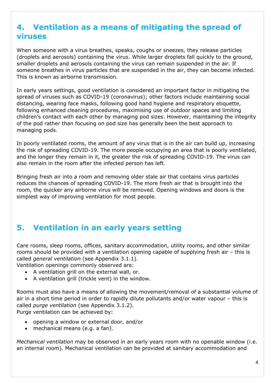# <span id="page-3-0"></span>**4. Ventilation as a means of mitigating the spread of viruses**

When someone with a virus breathes, speaks, coughs or sneezes, they release particles (droplets and aerosols) containing the virus. While larger droplets fall quickly to the ground, smaller droplets and aerosols containing the virus can remain suspended in the air. If someone breathes in virus particles that are suspended in the air, they can become infected. This is known as airborne transmission.

In early years settings, good ventilation is considered an important factor in mitigating the spread of viruses such as COVID-19 (coronavirus); other factors include maintaining social distancing, wearing face masks, following good hand hygiene and respiratory etiquette, following enhanced cleaning procedures, maximising use of outdoor spaces and limiting children's contact with each other by managing pod sizes. However, maintaining the integrity of the pod rather than focusing on pod size has generally been the best approach to managing pods.

In poorly ventilated rooms, the amount of any virus that is in the air can build up, increasing the risk of spreading COVID-19. The more people occupying an area that is poorly ventilated, and the longer they remain in it, the greater the risk of spreading COVID-19. The virus can also remain in the room after the infected person has left.

Bringing fresh air into a room and removing older stale air that contains virus particles reduces the chances of spreading COVID-19. The more fresh air that is brought into the room, the quicker any airborne virus will be removed. Opening windows and doors is the simplest way of improving ventilation for most people.

# <span id="page-3-1"></span>**5. Ventilation in an early years setting**

Care rooms, sleep rooms, offices, sanitary accommodation, utility rooms, and other similar rooms should be provided with a ventilation opening capable of supplying fresh air – this is called *general ventilation* (see Appendix 3.1.1).

Ventilation openings commonly observed are:

- A ventilation grill on the external wall, or.
- A ventilation grill (trickle vent) in the window.

Rooms must also have a means of allowing the movement/removal of a substantial volume of air in a short time period in order to rapidly dilute pollutants and/or water vapour – this is called *purge ventilation* (see Appendix 3.1.2). Purge ventilation can be achieved by:

- opening a window or external door, and/or
- mechanical means (e.g. a fan).

*Mechanical ventilation* may be observed in an early years room with no openable window (i.e. an internal room). Mechanical ventilation can be provided at sanitary accommodation and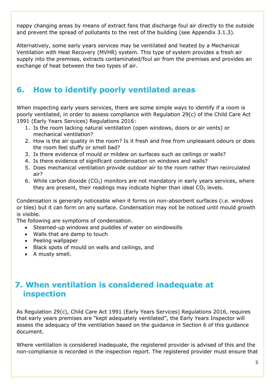nappy changing areas by means of extract fans that discharge foul air directly to the outside and prevent the spread of pollutants to the rest of the building (see Appendix 3.1.3).

Alternatively, some early years services may be ventilated and heated by a Mechanical Ventilation with Heat Recovery (MVHR) system. This type of system provides a fresh air supply into the premises, extracts contaminated/foul air from the premises and provides an exchange of heat between the two types of air.

# <span id="page-4-0"></span>**6. How to identify poorly ventilated areas**

When inspecting early years services, there are some simple ways to identify if a room is poorly ventilated, in order to assess compliance with Regulation 29(c) of the Child Care Act 1991 (Early Years Services) Regulations 2016:

- 1. Is the room lacking natural ventilation (open windows, doors or air vents) or mechanical ventilation?
- 2. How is the air quality in the room? Is it fresh and free from unpleasant odours or does the room feel stuffy or smell bad?
- 3. Is there evidence of mould or mildew on surfaces such as ceilings or walls?
- 4. Is there evidence of significant condensation on windows and walls?
- 5. Does mechanical ventilation provide outdoor air to the room rather than recirculated air?
- 6. While carbon dioxide  $(CO_2)$  monitors are not mandatory in early years services, where they are present, their readings may indicate higher than ideal  $CO<sub>2</sub>$  levels.

Condensation is generally noticeable when it forms on non-absorbent surfaces (i.e. windows or tiles) but it can form on any surface. Condensation may not be noticed until mould growth is visible.

The following are symptoms of condensation.

- Steamed-up windows and puddles of water on windowsills
- Walls that are damp to touch
- Peeling wallpaper
- Black spots of mould on walls and ceilings, and
- A musty smell.

# <span id="page-4-1"></span>**7. When ventilation is considered inadequate at inspection**

As Regulation 29(c), Child Care Act 1991 (Early Years Services) Regulations 2016, requires that early years premises are "kept adequately ventilated", the Early Years Inspector will assess the adequacy of the ventilation based on the guidance in Section 6 of this guidance document.

Where ventilation is considered inadequate, the registered provider is advised of this and the non-compliance is recorded in the inspection report. The registered provider must ensure that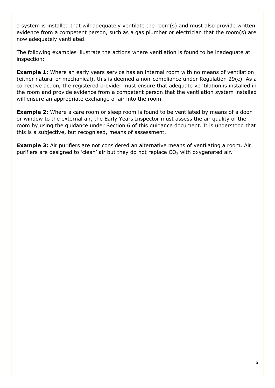a system is installed that will adequately ventilate the room(s) and must also provide written evidence from a competent person, such as a gas plumber or electrician that the room(s) are now adequately ventilated.

The following examples illustrate the actions where ventilation is found to be inadequate at inspection:

**Example 1:** Where an early years service has an internal room with no means of ventilation (either natural or mechanical), this is deemed a non-compliance under Regulation 29(c). As a corrective action, the registered provider must ensure that adequate ventilation is installed in the room and provide evidence from a competent person that the ventilation system installed will ensure an appropriate exchange of air into the room.

**Example 2:** Where a care room or sleep room is found to be ventilated by means of a door or window to the external air, the Early Years Inspector must assess the air quality of the room by using the guidance under Section 6 of this guidance document. It is understood that this is a subjective, but recognised, means of assessment.

**Example 3:** Air purifiers are not considered an alternative means of ventilating a room. Air purifiers are designed to 'clean' air but they do not replace  $CO<sub>2</sub>$  with oxygenated air.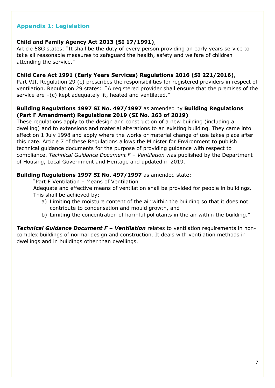### <span id="page-6-0"></span>**Appendix 1: Legislation**

#### **Child and Family Agency Act 2013 (SI 17/1991)**,

Article 58G states: "It shall be the duty of every person providing an early years service to take all reasonable measures to safeguard the health, safety and welfare of children attending the service."

#### **Child Care Act 1991 (Early Years Services) Regulations 2016 (SI 221/2016)**,

Part VII, Regulation 29 (c) prescribes the responsibilities for registered providers in respect of ventilation. Regulation 29 states:"A registered provider shall ensure that the premises of the service are –(c) kept adequately lit, heated and ventilated."

#### **Building Regulations 1997 SI No. 497/1997** as amended by **Building Regulations (Part F Amendment) Regulations 2019 (SI No. 263 of 2019)**

These regulations apply to the design and construction of a new building (including a dwelling) and to extensions and material alterations to an existing building. They came into effect on 1 July 1998 and apply where the works or material change of use takes place after this date. Article 7 of these Regulations allows the Minister for Environment to publish technical guidance documents for the purpose of providing guidance with respect to compliance. *Technical Guidance Document F – Ventilation* was published by the Department of Housing, Local Government and Heritage and updated in 2019.

#### **Building Regulations 1997 SI No. 497/1997** as amended state:

"Part F Ventilation – Means of Ventilation

Adequate and effective means of ventilation shall be provided for people in buildings. This shall be achieved by:

- a) Limiting the moisture content of the air within the building so that it does not contribute to condensation and mould growth, and
- b) Limiting the concentration of harmful pollutants in the air within the building."

*Technical Guidance Document F* **–** *Ventilation* relates to ventilation requirements in noncomplex buildings of normal design and construction. It deals with ventilation methods in dwellings and in buildings other than dwellings.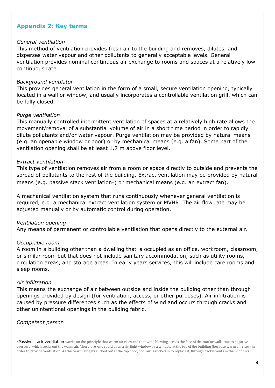### <span id="page-7-0"></span>**Appendix 2: Key terms**

#### *General ventilation*

This method of ventilation provides fresh air to the building and removes, dilutes, and disperses water vapour and other pollutants to generally acceptable levels. General ventilation provides nominal continuous air exchange to rooms and spaces at a relatively low continuous rate.

#### *Background ventilator*

This provides general ventilation in the form of a small, secure ventilation opening, typically located in a wall or window, and usually incorporates a controllable ventilation grill, which can be fully closed.

#### *Purge ventilation*

This manually controlled intermittent ventilation of spaces at a relatively high rate allows the movement/removal of a substantial volume of air in a short time period in order to rapidly dilute pollutants and/or water vapour. Purge ventilation may be provided by natural means (e.g. an openable window or door) or by mechanical means (e.g. a fan). Some part of the ventilation opening shall be at least 1.7 m above floor level.

#### *Extract ventilation*

This type of ventilation removes air from a room or space directly to outside and prevents the spread of pollutants to the rest of the building. Extract ventilation may be provided by natural means (e.g. passive stack ventilation<sup>1</sup>) or mechanical means (e.g. an extract fan).

A mechanical ventilation system that runs continuously whenever general ventilation is required, e.g. a mechanical extract ventilation system or MVHR. The air flow rate may be adjusted manually or by automatic control during operation.

#### *Ventilation opening*

Any means of permanent or controllable ventilation that opens directly to the external air.

#### *Occupiable room*

A room in a building other than a dwelling that is occupied as an office, workroom, classroom, or similar room but that does not include sanitary accommodation, such as utility rooms, circulation areas, and storage areas. In early years services, this will include care rooms and sleep rooms.

#### *Air infiltration*

This means the exchange of air between outside and inside the building other than through openings provided by design (for ventilation, access, or other purposes). Air infiltration is caused by pressure differences such as the effects of wind and occurs through cracks and other unintentional openings in the building fabric.

#### *Competent person*

<sup>&</sup>lt;sup>1</sup> Passive stack ventilation works on the principle that warm air rises and that wind blowing across the face of the roof or walls causes negative pressure, which sucks out the warm air. Therefore, one could open a skylight window or a window at the top of the building (because warm air rises) in order to provide ventilation. As this warm air gets sucked out at the top floor, cool air is sucked in to replace it, through trickle vents in the windows.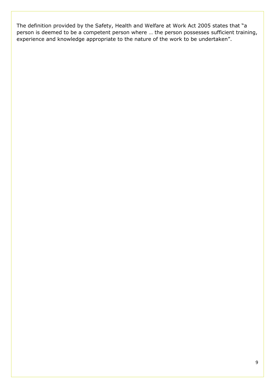The definition provided by the Safety, Health and Welfare at Work Act 2005 states that "a person is deemed to be a competent person where … the person possesses sufficient training, experience and knowledge appropriate to the nature of the work to be undertaken".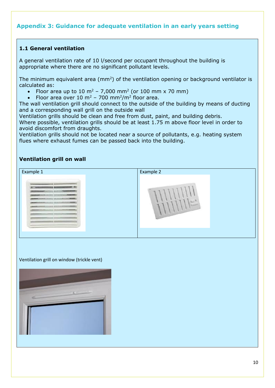### <span id="page-9-0"></span>**Appendix 3: Guidance for adequate ventilation in an early years setting**

### **1.1 General ventilation**

A general ventilation rate of 10 l/second per occupant throughout the building is appropriate where there are no significant pollutant levels.

The minimum equivalent area ( $mm<sup>2</sup>$ ) of the ventilation opening or background ventilator is calculated as:

- Floor area up to 10 m<sup>2</sup> 7,000 mm<sup>2</sup> (or 100 mm x 70 mm)
- Floor area over 10 m<sup>2</sup> 700 mm<sup>2</sup>/m<sup>2</sup> floor area.

The wall ventilation grill should connect to the outside of the building by means of ducting and a corresponding wall grill on the outside wall

Ventilation grills should be clean and free from dust, paint, and building debris. Where possible, ventilation grills should be at least 1.75 m above floor level in order to avoid discomfort from draughts.

Ventilation grills should not be located near a source of pollutants, e.g. heating system flues where exhaust fumes can be passed back into the building.

#### **Ventilation grill on wall**

| Example 1                                                                                                                                                                                                                                                                                      | Example 2 |
|------------------------------------------------------------------------------------------------------------------------------------------------------------------------------------------------------------------------------------------------------------------------------------------------|-----------|
| <u> Thomas Ann an Sheachtain an C</u><br><u> BARBARAHAN MITILI MELANJIRI MATERIAL MATERIAL MATERIAL MELANDIA BARBARAHAN MELANDIA MELANDIA MELANDIA MELANDI</u><br>#AARD-FOOTFROM FLOTTERED & CATALLICAL ABUSESSMANAGEMENT<br>MAANWESTERSTATERALLIGULATERE WERE ELECTRONIC ARRAIGHTENT WERE THE | ш         |

#### Ventilation grill on window (trickle vent)

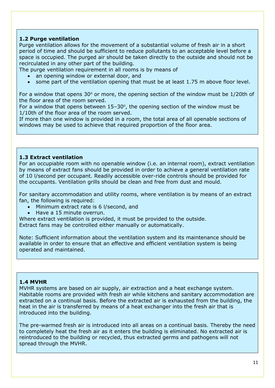### **1.2 Purge ventilation**

Purge ventilation allows for the movement of a substantial volume of fresh air in a short period of time and should be sufficient to reduce pollutants to an acceptable level before a space is occupied. The purged air should be taken directly to the outside and should not be recirculated in any other part of the building.

The purge ventilation requirement in all rooms is by means of

- an opening window or external door, and
- some part of the ventilation opening that must be at least 1.75 m above floor level.

For a window that opens 30 $\degree$  or more, the opening section of the window must be 1/20th of the floor area of the room served.

For a window that opens between  $15-30^\circ$ , the opening section of the window must be 1/10th of the floor area of the room served.

If more than one window is provided in a room, the total area of all openable sections of windows may be used to achieve that required proportion of the floor area.

#### **1.3 Extract ventilation**

For an occupiable room with no openable window (i.e. an internal room), extract ventilation by means of extract fans should be provided in order to achieve a general ventilation rate of 10 l/second per occupant. Readily accessible over-ride controls should be provided for the occupants. Ventilation grills should be clean and free from dust and mould.

For sanitary accommodation and utility rooms, where ventilation is by means of an extract fan, the following is required:

- Minimum extract rate is 6 l/second, and
- Have a 15 minute overrun.

Where extract ventilation is provided, it must be provided to the outside. Extract fans may be controlled either manually or automatically.

Note: Sufficient information about the ventilation system and its maintenance should be available in order to ensure that an effective and efficient ventilation system is being operated and maintained.

#### **1.4 MVHR**

MVHR systems are based on air supply, air extraction and a heat exchange system. Habitable rooms are provided with fresh air while kitchens and sanitary accommodation are extracted on a continual basis. Before the extracted air is exhausted from the building, the heat in the air is transferred by means of a heat exchanger into the fresh air that is introduced into the building.

The pre-warmed fresh air is introduced into all areas on a continual basis. Thereby the need to completely heat the fresh air as it enters the building is eliminated. No extracted air is reintroduced to the building or recycled, thus extracted germs and pathogens will not spread through the MVHR.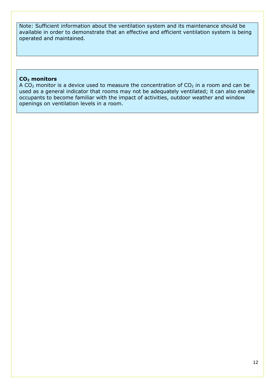Note: Sufficient information about the ventilation system and its maintenance should be available in order to demonstrate that an effective and efficient ventilation system is being operated and maintained.

#### **CO<sup>2</sup> monitors**

A  $CO<sub>2</sub>$  monitor is a device used to measure the concentration of  $CO<sub>2</sub>$  in a room and can be used as a general indicator that rooms may not be adequately ventilated; it can also enable occupants to become familiar with the impact of activities, outdoor weather and window openings on ventilation levels in a room.